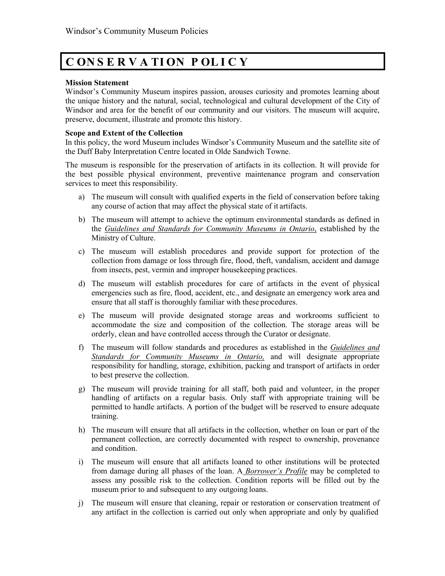## **C ON S E R V A TI ON P OL I C Y**

## **Mission Statement**

Windsor's Community Museum inspires passion, arouses curiosity and promotes learning about the unique history and the natural, social, technological and cultural development of the City of Windsor and area for the benefit of our community and our visitors. The museum will acquire, preserve, document, illustrate and promote this history.

## **Scope and Extent of the Collection**

In this policy, the word Museum includes Windsor's Community Museum and the satellite site of the Duff Baby Interpretation Centre located in Olde Sandwich Towne.

The museum is responsible for the preservation of artifacts in its collection. It will provide for the best possible physical environment, preventive maintenance program and conservation services to meet this responsibility.

- a) The museum will consult with qualified experts in the field of conservation before taking any course of action that may affect the physical state of it artifacts.
- b) The museum will attempt to achieve the optimum environmental standards as defined in the *Guidelines and Standards for Community Museums in Ontario*, established by the Ministry of Culture.
- c) The museum will establish procedures and provide support for protection of the collection from damage or loss through fire, flood, theft, vandalism, accident and damage from insects, pest, vermin and improper housekeeping practices.
- d) The museum will establish procedures for care of artifacts in the event of physical emergencies such as fire, flood, accident, etc., and designate an emergency work area and ensure that all staff is thoroughly familiar with these procedures.
- e) The museum will provide designated storage areas and workrooms sufficient to accommodate the size and composition of the collection. The storage areas will be orderly, clean and have controlled access through the Curator or designate.
- f) The museum will follow standards and procedures as established in the *Guidelines and Standards for Community Museums in Ontario,* and will designate appropriate responsibility for handling, storage, exhibition, packing and transport of artifacts in order to best preserve the collection.
- g) The museum will provide training for all staff, both paid and volunteer, in the proper handling of artifacts on a regular basis. Only staff with appropriate training will be permitted to handle artifacts. A portion of the budget will be reserved to ensure adequate training.
- h) The museum will ensure that all artifacts in the collection, whether on loan or part of the permanent collection, are correctly documented with respect to ownership, provenance and condition.
- i) The museum will ensure that all artifacts loaned to other institutions will be protected from damage during all phases of the loan. A *Borrower's Profile* may be completed to assess any possible risk to the collection. Condition reports will be filled out by the museum prior to and subsequent to any outgoing loans.
- j) The museum will ensure that cleaning, repair or restoration or conservation treatment of any artifact in the collection is carried out only when appropriate and only by qualified